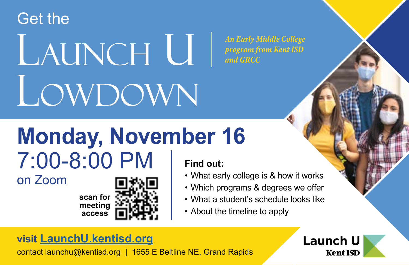Get the

# LAUNCH U LOWDOWN

*An Early Middle College program from Kent ISD and GRCC*

## **Monday, November 16** 7:00-8:00 PM **Find out:**

on Zoom

**scan for meeting access**

- What early college is & how it works
- Which programs & degrees we offer
- What a student's schedule looks like
- About the timeline to apply

#### **visit [LaunchU.kentisd.org](http://LaunchU.kentisd.org)**

contact launchu@kentisd.org **|** 1655 E Beltline NE, Grand Rapids